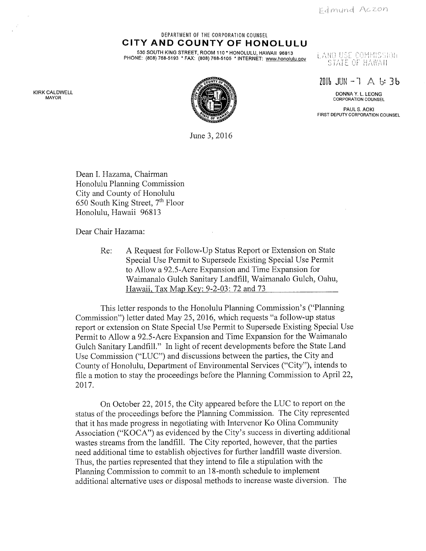Edmund Aczon

#### DEPARTMENT OF THE CORPORATION COUNSEL CITY AND COUNTY OF HONOLULU

530 SOUTH KING STREET, ROOM 110 \* HONOLULU, HAWAII 96813 PHONE: (808) 768-5193 \* FAX: (808) 768-5105 \* INTERNET: www.honolulu.qov

# LANO USE COMMISSION STATE OF HAWAII

 $20\%$  JUN-7  $\land$  b:3b

CALDWELL DONNA Y. L. LEONG DONNA Y. L. LEONG DONNA Y. L. LEONG DONNA Y. L. LEONG DONNA Y. L. LEONG DONNA Y. L.<br>MAYOR CORPORATION COUNSEL

> PAUL S. AOKI FIRST DEPUTY CORPORATION COUNSEL

KIRK CALDWELL<br>MAYOR



June 3, 2016

Dean I. Hazama, Chairman Honolulu Planning Commission City and County of Honolulu 650 South King Street, 7th Floor Honolulu, Hawaii 96813

Dear Chair Hazama:

Re: A Request for Follow-Up Status Report or Extension on State Special Use Permit to Supersede Existing Special Use Permit to Allow a 92.5-Acre Expansion and Time Expansion for Waimanalo Gulch Sanitary Landfill, Waimanalo Gulch, Oahu, Hawaii, Tax Map Key: 9-2-03:72 and 73

This letter responds to the Honolulu Planning Commission's ("Planning Commission") letter dated May 25, 2016, which requests "a follow-up status report or extension on State Special Use Permit to Supersede Existing Special Use Permit to Allow a 92.5-Acre Expansion and Time Expansion for the Waimanalo Gulch Sanitary Landfill." In light of recent developments before the State Land Use Commission ("LUC") and discussions between the parties, the City and County of Honolulu, Department of Environmental Services ("City"), intends to file a motion to stay the proceedings before the Planning Commission to April 22, 2017.

On October 22, 2015, the City appeared before the LUC to report on the status of the proceedings before the Planning Commission. The City represented that it has made progress in negotiating with Intervenor Ko Olina Community Association ("KOCA") as evidenced by the City's success in diverting additional wastes streams from the landfill. The City reported, however, that the parties need additional time to establish objectives for further landfill waste diversion. Thus, the parties represented that they intend to file a stipulation with the Planning Commission to commit to an 18-month schedule to implement additional alternative uses or disposal methods to increase waste diversion. The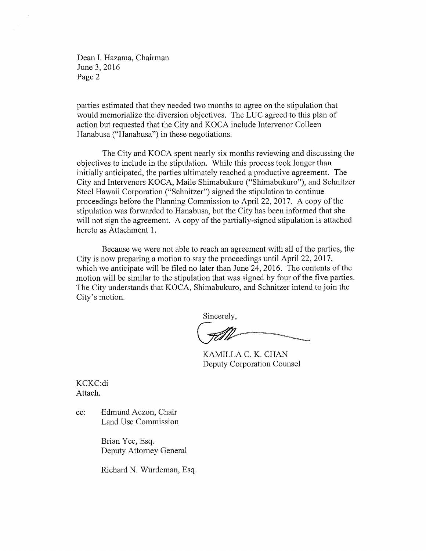Dean I. Hazama, Chairman June 3, 2016 Page 2

parties estimated that they needed two months to agree on the stipulation that would memorialize the diversion objectives. The LUC agreed to this plan of action but requested that the City and KOCA include Intervenor Colleen Hanabusa ("Hanabusa") in these negotiations.

The City and KOCA spent nearly six months reviewing and discussing the objectives to include in the stipulation. While this process took longer than initially anticipated, the parties ultimately reached a productive agreement. The City and Intervenors KOCA, Maile Shimabukuro ("Shimabukuro"), and Schnitzer Steel Hawaii Corporation ("Schnitzer") signed the stipulation to continue proceedings before the Planning Commission to April 22, 2017. A copy of the stipulation was forwarded to Hanabusa, but the City has been informed that she will not sign the agreement. A copy of the partially-signed stipulation is attached hereto as Attachment 1.

Because we were not able to reach an agreement with all of the parties, the City is now preparing a motion to stay the proceedings until April 22, 2017, which we anticipate will be filed no later than June 24, 2016. The contents of the motion will be similar to the stipulation that was signed by four of the five parties. The City understands that KOCA, Shimabukuro, and Schnitzer intend to join the City's motion.

Sincerely,

KAMILLA C. K. CHAN Deputy Corporation Counsel

KCKC:di Attach.

cc: Edmund Aczon, Chair Land Use Commission

> Brian Yee, Esq. Deputy Attorney General

Richard N. Wurdeman, Esq.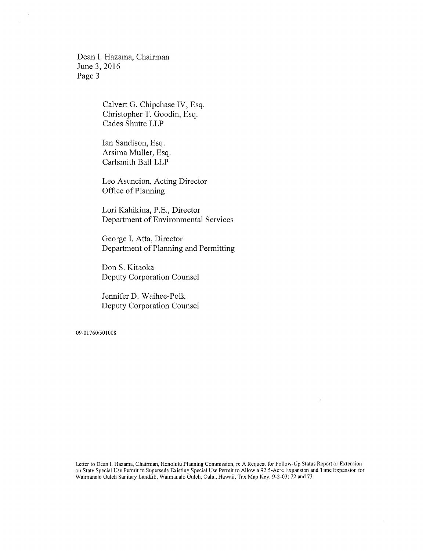Dean I. Hazama, Chairman June 3, 2016 Page 3

> Calvert G. Chipchase IV, Esq. Christopher T. Goodin, Esq. Cades Shutte LLP

Ian Sandison, Esq. Arsima Muller, Esq. Carlsmith Ball LLP

Leo Asuncion, Acting Director Office of Planning

Lori Kahikina, P.E., Director Department of Environmental Services

George I. Atta, Director Department of Planning and Permitting

Don S. Kitaoka Deputy Corporation Counsel

Jennifer D. Waihee-Polk Deputy Corporation Counsel

09-01760/501008

Letter to Dean I. Hazama, Chairman, Honolulu Planning Commission, re A Request for Follow-Up Status Report or Extension on State Special Use Permit to Supersede Existing Special Use Permit to Allow a 92.5-Acre Expansion and Time Expansion for Waimanalo Gulch Sanitary Landfill, Waimanalo Gulch, Oahu, Hawaii, Tax Map Key: 9-2-03:72 and 73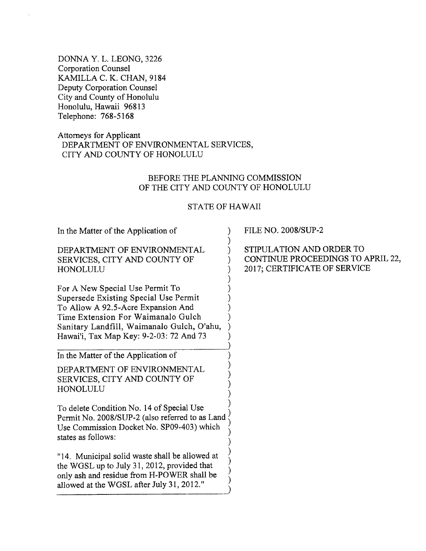DONNA Y. L. LEONG, 3226 Corporation Counsel KAMILLA C. K. CHAN, 9184 Deputy Corporation Counsel City and County of Honolulu Honolulu, Hawaii 96813 Telephone: 768-5168

# Attorneys for Applicant DEPARTMENT OF ENVIRONMENTAL SERVICES, CITY AND COUNTY OF HONOLULU

### BEFORE THE PLANNING COMMISSION OF THE CITY AND COUNTY OF HONOLULU

## STATE OF HAWAII

In the Matter of the Application of DEPARTMENT OF ENVIRONMENTAL SERVICES, CITY AND COUNTY OF HONOLULU For A New Special Use Permit To Supersede Existing Special Use Permit To Allow A 92.5-Acre Expansion And Time Extension For Waimanalo Gulch Sanitary Landfill, Waimanalo Gulch, O'ahu, Hawai'i, Tax Map Key: 9-2-03:72 And 73 In the Matter of the Application of DEPARTMENT OF ENVIRONMENTAL SERVICES, CITY AND COUNTY OF HONOLULU To delete Condition No. 14 of Special Use Permit No. 2008/SUP-2 (also referred to as Land Use Commission Docket No. SP09-403) which states as follows: "14. Municipal solid waste shall be allowed at the WGSL up to July 31, 2012, provided that only ash and residue from H-POWER shall be allowed at the WGSL after July 31, 2012." ) ) ) ) ) ) .<br>) ) ) ) ) .<br>) ) ) ) ) ) .<br>) ) ) ) .<br>( ) ) ) ) ) .)

FILE NO. 2008/SUP-2

STIPULATION AND ORDER TO CONTINUE PROCEEDINGS TO APRIL 22, 2017; CERTIFICATE OF SERVICE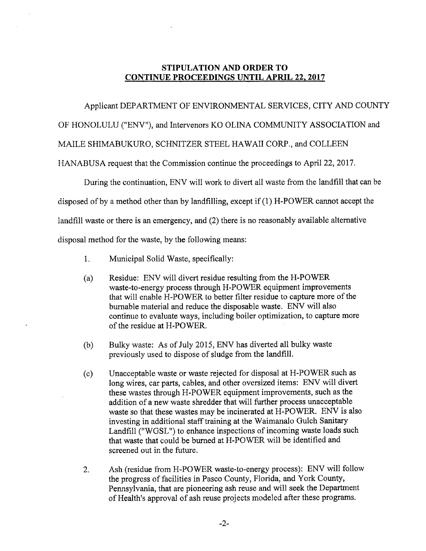# STIPULATION AND ORDER TO CONTINUE PROCEEDINGS UNTIL APRIL 22, 2017

# Applicant DEPARTMENT OF ENVIRONMENTAL SERVICES, CITY AND COUNTY

OF HONOLULU ("ENV"), and Intervenors KO OLINA COMMUNITY ASSOCIATION and

MAILE SHIMABUKURO, SCHNITZER STEEL HAWAII CORP., and COLLEEN

HANABUSA request that the Commission continue the proceedings to April 22, 2017.

During the continuation, ENV will work to divert all waste from the landfill that can be

disposed of by a method other than by landfilling, except if (1) H-POWER cannot accept the

landfill waste or there is an emergency, and (2) there is no reasonably available alternative

disposal method for the waste, by the following means:

- 1. Municipal Solid Waste, specifically:
- (a) Residue: ENV will divert residue resulting from the H-POWER waste-to-energy process through H-POWER equipment improvements that will enable H-POWER to better filter residue to capture more of the burnable material and reduce the disposable waste. ENV will also continue to evaluate ways, including boiler optimization, to capture more of the residue at H-POWER.
- (b) Bulky waste: As of July 2015, ENV has diverted all bulky waste previously used to dispose of sludge from the landfill.
- (c) Unacceptable waste or waste rejected for disposal at H-POWER such as long wires, car parts, cables, and other oversized items: ENV will divert these wastes through H-POWER equipment improvements, such as the addition of a new waste shredder that will further process unacceptable waste so that these wastes may be incinerated at H-POWER. ENV is also investing in additional staff training at the Waimanalo Gulch Sanitary Landfill ("WGSL") to enhance inspections of incoming waste loads such that waste that could be burned at H-POWER will be identified and screened out in the future.
- , Ash (residue from H-POWER waste-to-energy process): ENV will follow the progress of facilities in Pasco County, Florida, and York County, Pennsylvania, that are pioneering ash reuse and will seek the Department of Health's approval of ash reuse projects modeled after these programs.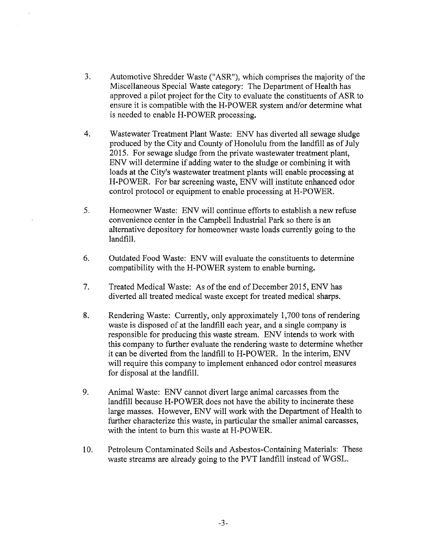- , Automotive Shredder Waste ("ASR"), which comprises the majority of the Miscellaneous Special Waste category: The Department of Health has approved a pilot project for the City to evaluate the constituents of ASR to ensure it is compatible with the H-POWER system and/or determine what is needed to enable H-POWER processing.
- $\overline{4}$ . Wastewater Treatment Plant Waste: ENV has diverted all sewage sludge produced by the City and County of Honolulu from the landfill as of July 2015. For sewage sludge from the private wastewater treatment plant, ENV will determine if adding water to the sludge or combining it with loads at the City's wastewater treatment plants will enable processing at H-POWER. For bar screening waste, ENV will institute enhanced odor control protocol or equipment to enable processing at H-POWER.
- 5. Homeowner Waste: ENV will continue efforts to establish a new refuse convenience center in the Campbell Industrial Park so there is an alternative depository for homeowner waste loads currently going to the landfill.
- 6. Outdated Food Waste: ENV will evaluate the constituents to determine compatibility with the H-POWER system to enable burning.
- 7, Treated Medical Waste: As of the end of December 2015, ENV has diverted all treated medical waste except for treated medical sharps.
- 8. Rendering Waste: Currently, only approximately 1,700 tons of rendering waste is disposed of at the landfill each year, and a single company is responsible for producing this waste stream. ENV intends to work with this company to further evaluate the rendering waste to determine whether it can be diverted from the landfill to H-POWER. In the interim, ENV will require this company to implement enhanced odor control measures for disposal at the landfill.
- 9. Animal Waste: ENV cannot divert large animal carcasses from the landfill because H-POWER does not have the ability to incinerate these large masses. However, ENV will work with the Department of Health to further characterize this waste, in particular the smaller animal carcasses, with the intent to burn this waste at H-POWER.
- 10. Petroleum Contaminated Soils and Asbestos-Containing Materials: These waste streams are already going to the PVT landfill instead of WGSL.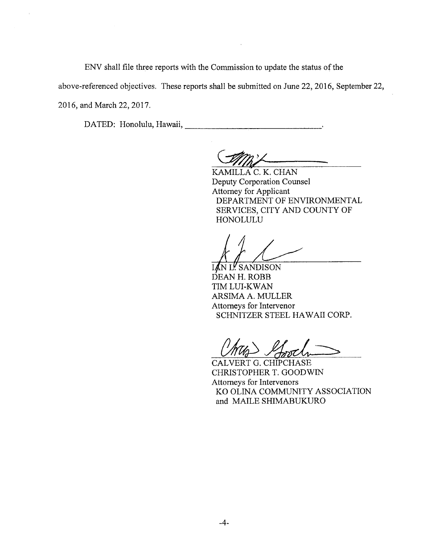ENV shall file three reports with the Commission to update the status of the

above-referenced objectives. These reports shall be submitted on June 22, 2016, September 22,

2016, and March 22, 2017.

DATED: Honolulu, Hawaii,

KAMILLA C. K. CHAN Deputy Corporation Counsel Attorney for Applicant DEPARTMENT OF ENVIRONMENTAL SERVICES, CITY AND COUNTY OF HONOLULU

N L! SANDISON DEAN H. ROBB TIM LUI-KWAN ARSIMA A. MULLER Attorneys for Intervenor SCHNITZER STEEL HAWAII CORP.

CALVERT G. CHIPCHASE CHRISTOPHER T. GOODWIN Attorneys for Intervenors KO OLINA COMMUNITY ASSOCIATION and MAILE SHIMABUKURO